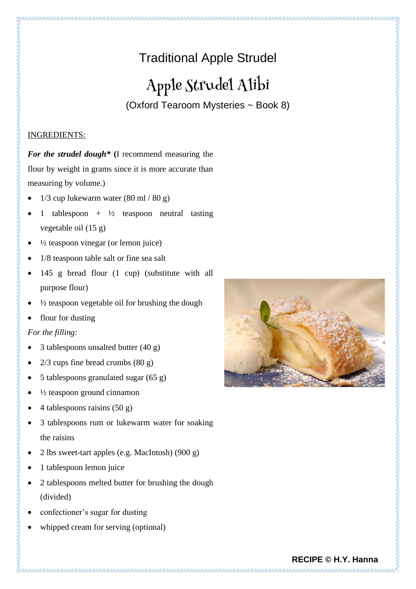# Traditional Apple Strudel

# Apple Strudel Alibi

(Oxford Tearoom Mysteries ~ Book 8)

## INGREDIENTS:

*For the strudel dough\** **(**I recommend measuring the flour by weight in grams since it is more accurate than measuring by volume.)

- $1/3$  cup lukewarm water  $(80 \text{ ml} / 80 \text{ g})$
- 1 tablespoon +  $\frac{1}{2}$  teaspoon neutral tasting vegetable oil (15 g)
- $\bullet$   $\frac{1}{2}$  teaspoon vinegar (or lemon juice)
- 1/8 teaspoon table salt or fine sea salt
- 145 g bread flour (1 cup) (substitute with all purpose flour)
- $\frac{1}{2}$  teaspoon vegetable oil for brushing the dough
- flour for dusting

# *For the filling:*

- 3 tablespoons unsalted butter (40 g)
- $2/3$  cups fine bread crumbs  $(80 \text{ g})$
- 5 tablespoons granulated sugar (65 g)
- $\frac{1}{2}$  teaspoon ground cinnamon
- 4 tablespoons raisins  $(50 g)$
- 3 tablespoons rum or lukewarm water for soaking the raisins
- 2 lbs sweet-tart apples (e.g. MacIntosh)  $(900 g)$
- 1 tablespoon lemon juice
- 2 tablespoons melted butter for brushing the dough (divided)
- confectioner's sugar for dusting
- whipped cream for serving (optional)



# **RECIPE © H.Y. Hanna**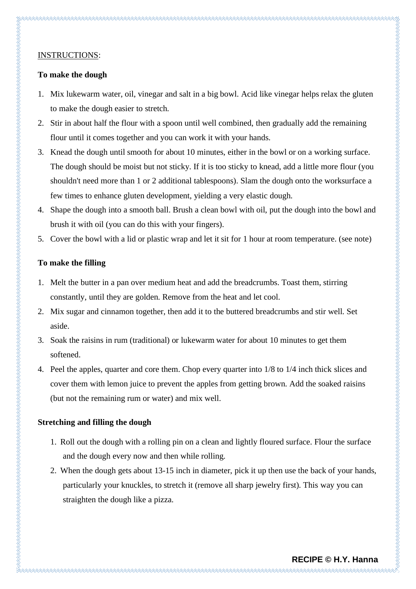#### INSTRUCTIONS:

#### **To make the dough**

- 1. Mix lukewarm water, oil, vinegar and salt in a big bowl. Acid like vinegar helps relax the gluten to make the dough easier to stretch.
- 2. Stir in about half the flour with a spoon until well combined, then gradually add the remaining flour until it comes together and you can work it with your hands.
- 3. Knead the dough until smooth for about 10 minutes, either in the bowl or on a working surface. The dough should be moist but not sticky. If it is too sticky to knead, add a little more flour (you shouldn't need more than 1 or 2 additional tablespoons). Slam the dough onto the worksurface a few times to enhance gluten development, yielding a very elastic dough.
- 4. Shape the dough into a smooth ball. Brush a clean bowl with oil, put the dough into the bowl and brush it with oil (you can do this with your fingers).
- 5. Cover the bowl with a lid or plastic wrap and let it sit for 1 hour at room temperature. (see note)

### **To make the filling**

- 1. Melt the butter in a pan over medium heat and add the breadcrumbs. Toast them, stirring constantly, until they are golden. Remove from the heat and let cool.
- 2. Mix sugar and cinnamon together, then add it to the buttered breadcrumbs and stir well. Set aside.
- 3. Soak the raisins in rum (traditional) or lukewarm water for about 10 minutes to get them softened.
- 4. Peel the apples, quarter and core them. Chop every quarter into 1/8 to 1/4 inch thick slices and cover them with lemon juice to prevent the apples from getting brown. Add the soaked raisins (but not the remaining rum or water) and mix well.

### **Stretching and filling the dough**

- 1. Roll out the dough with a rolling pin on a clean and lightly floured surface. Flour the surface and the dough every now and then while rolling.
- 2. When the dough gets about 13-15 inch in diameter, pick it up then use the back of your hands, particularly your knuckles, to stretch it (remove all sharp jewelry first). This way you can straighten the dough like a pizza.